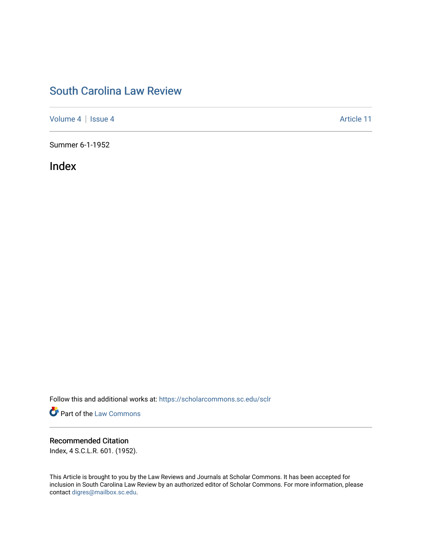## [South Carolina Law Review](https://scholarcommons.sc.edu/sclr)

[Volume 4](https://scholarcommons.sc.edu/sclr/vol4) | [Issue 4](https://scholarcommons.sc.edu/sclr/vol4/iss4) Article 11

Summer 6-1-1952

Index

Follow this and additional works at: [https://scholarcommons.sc.edu/sclr](https://scholarcommons.sc.edu/sclr?utm_source=scholarcommons.sc.edu%2Fsclr%2Fvol4%2Fiss4%2F11&utm_medium=PDF&utm_campaign=PDFCoverPages)

**Part of the [Law Commons](http://network.bepress.com/hgg/discipline/578?utm_source=scholarcommons.sc.edu%2Fsclr%2Fvol4%2Fiss4%2F11&utm_medium=PDF&utm_campaign=PDFCoverPages)** 

### Recommended Citation

Index, 4 S.C.L.R. 601. (1952).

This Article is brought to you by the Law Reviews and Journals at Scholar Commons. It has been accepted for inclusion in South Carolina Law Review by an authorized editor of Scholar Commons. For more information, please contact [digres@mailbox.sc.edu.](mailto:digres@mailbox.sc.edu)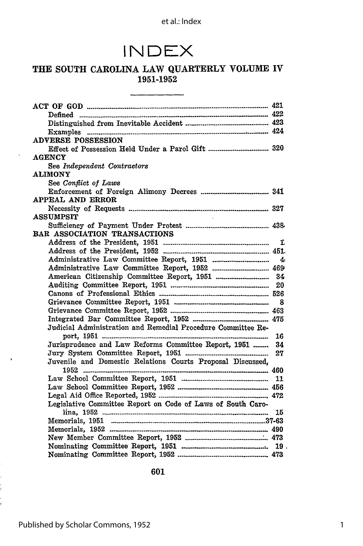## **INDEX**

#### THE **SOUTH CAROLINA** LAW QUARTERLY **VOLUME** IV **1951-1952**

| <b>ADVERSE POSSESSION</b>                                    |  |
|--------------------------------------------------------------|--|
|                                                              |  |
| <b>AGENCY</b>                                                |  |
| See Independent Contractors                                  |  |
| <b>ALIMONY</b>                                               |  |
| See Conflict of Laws                                         |  |
|                                                              |  |
| APPEAL AND ERROR                                             |  |
|                                                              |  |
| <b>ASSUMPSIT</b>                                             |  |
|                                                              |  |
| BAR ASSOCIATION TRANSACTIONS                                 |  |
|                                                              |  |
|                                                              |  |
|                                                              |  |
|                                                              |  |
|                                                              |  |
|                                                              |  |
|                                                              |  |
|                                                              |  |
|                                                              |  |
|                                                              |  |
| Judicial Administration and Remedial Procedure Committee Re- |  |
|                                                              |  |
| Jurisprudence and Law Reforms Committee Report, 1951  34     |  |
|                                                              |  |
| Juvenile and Domestic Relations Courts Proposal Discussed,   |  |
|                                                              |  |
|                                                              |  |
|                                                              |  |
|                                                              |  |
| Legislative Committee Report on Code of Laws of South Caro-  |  |
|                                                              |  |
|                                                              |  |
|                                                              |  |
|                                                              |  |
|                                                              |  |
|                                                              |  |

601

ł,  $\frac{1}{2}$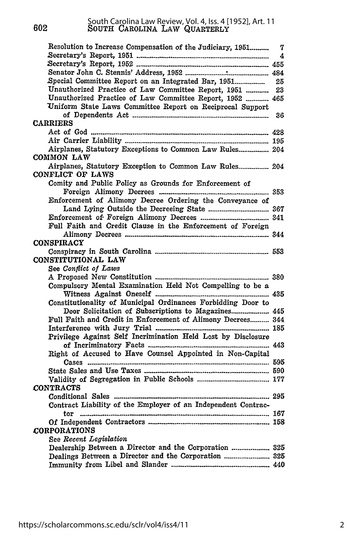602

|                        | Resolution to Increase Compensation of the Judiciary, 1951    |  |
|------------------------|---------------------------------------------------------------|--|
|                        |                                                               |  |
|                        |                                                               |  |
|                        |                                                               |  |
|                        |                                                               |  |
|                        | Unauthorized Practice of Law Committee Report, 1951  23       |  |
|                        | Unauthorized Practice of Law Committee Report, 1952  465      |  |
|                        | Uniform State Laws Committee Report on Reciprocal Support     |  |
|                        |                                                               |  |
| <b>CARRIERS</b>        |                                                               |  |
|                        |                                                               |  |
|                        |                                                               |  |
|                        | Airplanes, Statutory Exceptions to Common Law Rules 204       |  |
| COMMON LAW             |                                                               |  |
|                        | Airplanes, Statutory Exception to Common Law Rules 204        |  |
| CONFLICT OF LAWS       |                                                               |  |
|                        | Comity and Public Policy as Grounds for Enforcement of        |  |
|                        |                                                               |  |
|                        | Enforcement of Alimony Decree Ordering the Conveyance of      |  |
|                        |                                                               |  |
|                        |                                                               |  |
|                        | Full Faith and Credit Clause in the Enforcement of Foreign    |  |
|                        |                                                               |  |
| <b>CONSPIRACY</b>      |                                                               |  |
|                        |                                                               |  |
| CONSTITUTIONAL LAW     |                                                               |  |
| See Conflict of Laws   |                                                               |  |
|                        |                                                               |  |
|                        | Compulsory Mental Examination Held Not Compelling to be a     |  |
|                        |                                                               |  |
|                        | Constitutionality of Municipal Ordinances Forbidding Door to  |  |
|                        | Door Solicitation of Subscriptions to Magazines 445           |  |
|                        | Full Faith and Credit in Enforcement of Alimony Decrees 344   |  |
|                        |                                                               |  |
|                        | Privilege Against Self Incrimination Held Lost by Disclosure  |  |
|                        |                                                               |  |
|                        | Right of Accused to Have Counsel Appointed in Non-Capital     |  |
|                        |                                                               |  |
|                        |                                                               |  |
| <b>CONTRACTS</b>       |                                                               |  |
|                        |                                                               |  |
|                        | Contract Liability of the Employer of an Independent Contrac- |  |
|                        |                                                               |  |
|                        |                                                               |  |
| <b>CORPORATIONS</b>    |                                                               |  |
|                        |                                                               |  |
| See Recent Legislation | Dealership Between a Director and the Corporation  325        |  |
|                        |                                                               |  |
|                        |                                                               |  |
|                        |                                                               |  |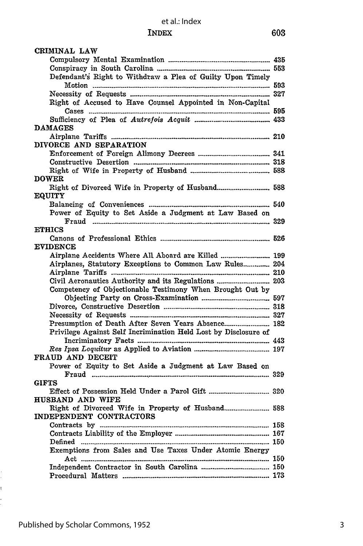| CRIMINAL LAW                                                    |  |
|-----------------------------------------------------------------|--|
|                                                                 |  |
|                                                                 |  |
| Defendant's Right to Withdraw a Plea of Guilty Upon Timely      |  |
|                                                                 |  |
|                                                                 |  |
| Right of Accused to Have Counsel Appointed in Non-Capital       |  |
|                                                                 |  |
|                                                                 |  |
| <b>DAMAGES</b>                                                  |  |
|                                                                 |  |
| DIVORCE AND SEPARATION                                          |  |
|                                                                 |  |
|                                                                 |  |
|                                                                 |  |
| <b>DOWER</b>                                                    |  |
|                                                                 |  |
|                                                                 |  |
| <b>EQUITY</b>                                                   |  |
|                                                                 |  |
| Power of Equity to Set Aside a Judgment at Law Based on         |  |
|                                                                 |  |
| <b>ETHICS</b>                                                   |  |
|                                                                 |  |
| <b>EVIDENCE</b>                                                 |  |
|                                                                 |  |
| Airplanes, Statutory Exceptions to Common Law Rules 204         |  |
|                                                                 |  |
|                                                                 |  |
| Competency of Objectionable Testimony When Brought Out by       |  |
|                                                                 |  |
|                                                                 |  |
|                                                                 |  |
| Presumption of Death After Seven Years Absence 182              |  |
| Privilege Against Self Incrimination Held Lost by Disclosure of |  |
|                                                                 |  |
|                                                                 |  |
| FRAUD AND DECEIT                                                |  |
|                                                                 |  |
| Power of Equity to Set Aside a Judgment at Law Based on         |  |
|                                                                 |  |
| <b>GIFTS</b>                                                    |  |
|                                                                 |  |
| HUSBAND AND WIFE                                                |  |
|                                                                 |  |
| INDEPENDENT CONTRACTORS                                         |  |
|                                                                 |  |
|                                                                 |  |
|                                                                 |  |
| Exemptions from Sales and Use Taxes Under Atomic Energy         |  |
|                                                                 |  |
|                                                                 |  |
|                                                                 |  |
|                                                                 |  |

 $\frac{1}{2}$ ŧ. j.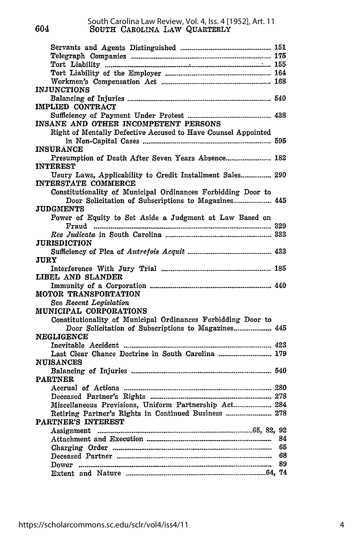**604**

| <i><b>INJUNCTIONS</b></i>                                                        |  |
|----------------------------------------------------------------------------------|--|
|                                                                                  |  |
| IMPLIED CONTRACT                                                                 |  |
|                                                                                  |  |
| INSANE AND OTHER INCOMPETENT PERSONS                                             |  |
|                                                                                  |  |
| Right of Mentally Defective Accused to Have Counsel Appointed                    |  |
|                                                                                  |  |
| <b>INSURANCE</b>                                                                 |  |
| Presumption of Death After Seven Years Absence 182                               |  |
| <b>INTEREST</b>                                                                  |  |
| Usury Laws, Applicability to Credit Installment Sales 290<br>INTERSTATE COMMERCE |  |
| Constitutionality of Municipal Ordinances Forbidding Door to                     |  |
|                                                                                  |  |
| JUDGMENTS                                                                        |  |
| Power of Equity to Set Aside a Judgment at Law Based on                          |  |
|                                                                                  |  |
|                                                                                  |  |
| <b>JURISDICTION</b>                                                              |  |
|                                                                                  |  |
| JURY                                                                             |  |
|                                                                                  |  |
| LIBEL AND SLANDER                                                                |  |
|                                                                                  |  |
|                                                                                  |  |
| MOTOR TRANSPORTATION                                                             |  |
| See Recent Legislation                                                           |  |
| MUNICIPAL CORPORATIONS                                                           |  |
| Constitutionality of Municipal Ordinances Forbidding Door to                     |  |
| Door Solicitation of Subscriptions to Magazines 445                              |  |
| <b>NEGLIGENCE</b>                                                                |  |
|                                                                                  |  |
| Last Clear Chance Doctrine in South Carolina  179                                |  |
| <b>NUISANCES</b>                                                                 |  |
|                                                                                  |  |
| <b>PARTNER</b>                                                                   |  |
|                                                                                  |  |
|                                                                                  |  |
|                                                                                  |  |
| Retiring Partner's Rights in Continued Business  278                             |  |
|                                                                                  |  |
| PARTNER'S INTEREST                                                               |  |
|                                                                                  |  |
|                                                                                  |  |
|                                                                                  |  |
|                                                                                  |  |
|                                                                                  |  |
|                                                                                  |  |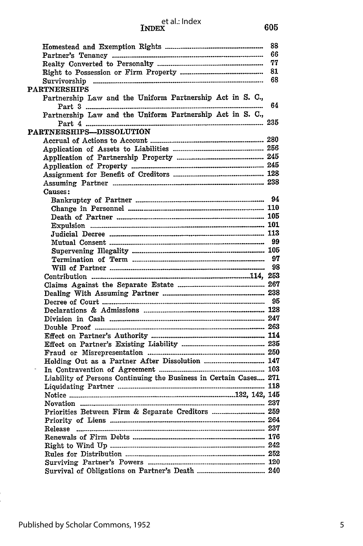# et al.: Index<br> **INDEX**

|                                                                   | 88 |
|-------------------------------------------------------------------|----|
|                                                                   | 66 |
|                                                                   | 77 |
|                                                                   | 81 |
|                                                                   | 68 |
| <b>PARTNERSHIPS</b>                                               |    |
| Partnership Law and the Uniform Partnership Act in S. C.,         |    |
| ---------                                                         | 64 |
| Partnership Law and the Uniform Partnership Act in S. C.,         |    |
|                                                                   |    |
| PARTNERSHIPS-DISSOLUTION                                          |    |
|                                                                   |    |
|                                                                   |    |
|                                                                   |    |
|                                                                   |    |
|                                                                   |    |
|                                                                   |    |
| Causes:                                                           |    |
|                                                                   |    |
|                                                                   |    |
|                                                                   |    |
|                                                                   |    |
|                                                                   |    |
|                                                                   | 99 |
|                                                                   |    |
|                                                                   |    |
|                                                                   |    |
|                                                                   |    |
|                                                                   |    |
|                                                                   |    |
|                                                                   |    |
|                                                                   |    |
|                                                                   |    |
|                                                                   |    |
|                                                                   |    |
|                                                                   |    |
|                                                                   |    |
| Holding Out as a Partner After Dissolution  147                   |    |
|                                                                   |    |
| Liability of Persons Continuing the Business in Certain Cases 271 |    |
|                                                                   |    |
|                                                                   |    |
|                                                                   |    |
| Priorities Between Firm & Separate Creditors  259                 |    |
|                                                                   |    |
|                                                                   |    |
|                                                                   |    |
|                                                                   |    |
|                                                                   |    |
|                                                                   |    |
|                                                                   |    |
|                                                                   |    |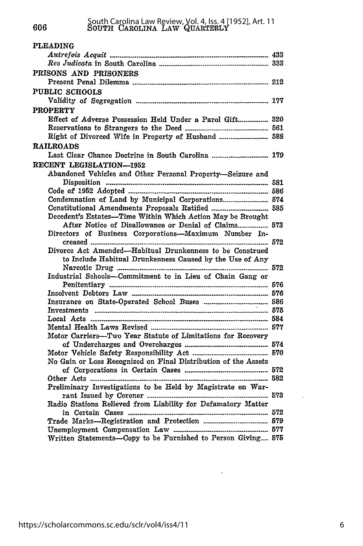| <b>PLEADING</b>                                                |  |
|----------------------------------------------------------------|--|
|                                                                |  |
|                                                                |  |
| PRISONS AND PRISONERS                                          |  |
|                                                                |  |
| <b>PUBLIC SCHOOLS</b>                                          |  |
|                                                                |  |
|                                                                |  |
| <b>PROPERTY</b>                                                |  |
| Effect of Adverse Possession Held Under a Parol Gift 320       |  |
|                                                                |  |
|                                                                |  |
| <b>RAILROADS</b>                                               |  |
|                                                                |  |
| RECENT LEGISLATION--1952                                       |  |
| Abandoned Vehicles and Other Personal Property-Seizure and     |  |
|                                                                |  |
|                                                                |  |
| Condemnation of Land by Municipal Corporations 574             |  |
| Constitutional Amendments Proposals Ratified  585              |  |
| Decedent's Estates—Time Within Which Action May be Brought     |  |
| After Notice of Disallowance or Denial of Claims 573           |  |
| Directors of Business Corporations-Maximum Number In-          |  |
|                                                                |  |
| Divorce Act Amended—Habitual Drunkenness to be Construed       |  |
| to Include Habitual Drunkenness Caused by the Use of Any       |  |
|                                                                |  |
| Industrial Schools—Commitment to in Lieu of Chain Gang or      |  |
|                                                                |  |
|                                                                |  |
|                                                                |  |
|                                                                |  |
|                                                                |  |
|                                                                |  |
| Motor Carriers-Two Year Statute of Limitations for Recovery    |  |
|                                                                |  |
|                                                                |  |
| No Gain or Loss Recognized on Final Distribution of the Assets |  |
|                                                                |  |
|                                                                |  |
| Preliminary Investigations to be Held by Magistrate on War-    |  |
|                                                                |  |
| Radio Stations Relieved from Liability for Defamatory Matter   |  |
|                                                                |  |
|                                                                |  |
|                                                                |  |
| Written Statements--Copy to be Furnished to Person Giving 575  |  |

 $\sim$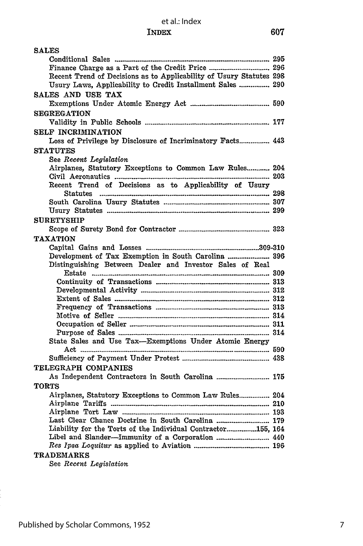| <b>SALES</b>                                                        |  |
|---------------------------------------------------------------------|--|
|                                                                     |  |
|                                                                     |  |
| Recent Trend of Decisions as to Applicability of Usury Statutes 298 |  |
| Usury Laws, Applicability to Credit Installment Sales  290          |  |
| SALES AND USE TAX                                                   |  |
|                                                                     |  |
| <b>SEGREGATION</b>                                                  |  |
|                                                                     |  |
| SELF INCRIMINATION                                                  |  |
| Loss of Privilege by Disclosure of Incriminatory Facts 443          |  |
|                                                                     |  |
| <b>STATUTES</b>                                                     |  |
| See Recent Legislation                                              |  |
| Airplanes, Statutory Exceptions to Common Law Rules 204             |  |
| Recent Trend of Decisions as to Applicability of Usury              |  |
|                                                                     |  |
|                                                                     |  |
|                                                                     |  |
| <b>SURETYSHIP</b>                                                   |  |
|                                                                     |  |
|                                                                     |  |
| <b>TAXATION</b>                                                     |  |
|                                                                     |  |
| Development of Tax Exemption in South Carolina  396                 |  |
| Distinguishing Between Dealer and Investor Sales of Real            |  |
|                                                                     |  |
|                                                                     |  |
|                                                                     |  |
|                                                                     |  |
|                                                                     |  |
|                                                                     |  |
|                                                                     |  |
| State Sales and Use Tax—Exemptions Under Atomic Energy              |  |
|                                                                     |  |
|                                                                     |  |
| TELEGRAPH COMPANIES                                                 |  |
| As Independent Contractors in South Carolina  175                   |  |
|                                                                     |  |
| <b>TORTS</b>                                                        |  |
| Airplanes, Statutory Exceptions to Common Law Rules 204             |  |
|                                                                     |  |
| Last Clear Chance Doctrine in South Carolina  179                   |  |
| Liability for the Torts of the Individual Contractor155, 164        |  |
| Libel and Slander-Immunity of a Corporation  440                    |  |
|                                                                     |  |
| <b>TRADEMARKS</b>                                                   |  |
| $Q_{\text{max}}$ $D_{\text{max}}$ $I_{\text{max}}$                  |  |

See *Recent Legislation*